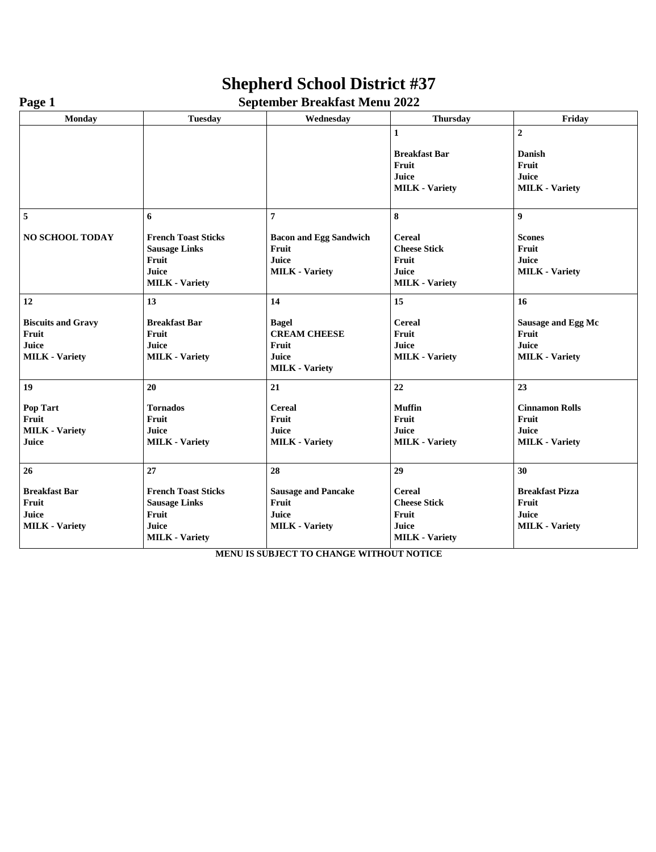## **Shepherd School District #37**

| - -- <del>-</del> -       |                            |                               |                       |                        |
|---------------------------|----------------------------|-------------------------------|-----------------------|------------------------|
| <b>Monday</b>             | <b>Tuesday</b>             | Wednesday                     | <b>Thursday</b>       | Friday                 |
|                           |                            |                               | $\mathbf{1}$          | $\overline{2}$         |
|                           |                            |                               |                       |                        |
|                           |                            |                               | <b>Breakfast Bar</b>  | Danish                 |
|                           |                            |                               | Fruit                 | Fruit                  |
|                           |                            |                               | Juice                 | Juice                  |
|                           |                            |                               | <b>MILK</b> - Variety | <b>MILK</b> - Variety  |
| 5                         | 6                          | 7                             | 8                     | $\boldsymbol{9}$       |
| <b>NO SCHOOL TODAY</b>    | <b>French Toast Sticks</b> | <b>Bacon and Egg Sandwich</b> | <b>Cereal</b>         | <b>Scones</b>          |
|                           | <b>Sausage Links</b>       | Fruit                         | <b>Cheese Stick</b>   | Fruit                  |
|                           | Fruit                      | Juice                         | Fruit                 | Juice                  |
|                           | Juice                      | <b>MILK - Variety</b>         | Juice                 | <b>MILK</b> - Variety  |
|                           | <b>MILK</b> - Variety      |                               | <b>MILK - Variety</b> |                        |
| 12                        | 13                         | 14                            | 15                    | 16                     |
| <b>Biscuits and Gravy</b> | <b>Breakfast Bar</b>       | <b>Bagel</b>                  | <b>Cereal</b>         | Sausage and Egg Mc     |
| Fruit                     | Fruit                      | <b>CREAM CHEESE</b>           | Fruit                 | Fruit                  |
| Juice                     | Juice                      | Fruit                         | Juice                 | Juice                  |
| <b>MILK</b> - Variety     | <b>MILK</b> - Variety      | Juice                         | <b>MILK</b> - Variety | <b>MILK</b> - Variety  |
|                           |                            | <b>MILK</b> - Variety         |                       |                        |
| 19                        | 20                         | 21                            | 22                    | 23                     |
| Pop Tart                  | <b>Tornados</b>            | <b>Cereal</b>                 | <b>Muffin</b>         | <b>Cinnamon Rolls</b>  |
| Fruit                     | Fruit                      | Fruit                         | Fruit                 | Fruit                  |
| <b>MILK</b> - Variety     | Juice                      | Juice                         | Juice                 | Juice                  |
| Juice                     | <b>MILK</b> - Variety      | <b>MILK - Variety</b>         | <b>MILK - Variety</b> | <b>MILK</b> - Variety  |
| 26                        | 27                         | 28                            | 29                    | 30                     |
| <b>Breakfast Bar</b>      | <b>French Toast Sticks</b> | <b>Sausage and Pancake</b>    | <b>Cereal</b>         | <b>Breakfast Pizza</b> |
| Fruit                     | <b>Sausage Links</b>       | Fruit                         | <b>Cheese Stick</b>   | Fruit                  |
| Juice                     | Fruit                      | Juice                         | Fruit                 | Juice                  |
| <b>MILK</b> - Variety     | Juice                      | <b>MILK</b> - Variety         | Juice                 | <b>MILK</b> - Variety  |

**Page 1** September Breakfast Menu 2022

**MENU IS SUBJECT TO CHANGE WITHOUT NOTICE**

**MILK - Variety**

**MILK - Variety**